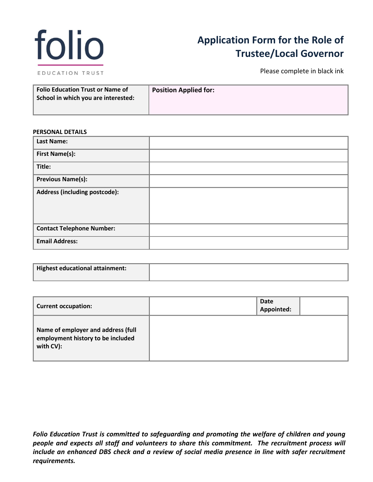

# **Application Form for the Role of Trustee/Local Governor**

Please complete in black ink

| Folio Education Trust or Name of<br>School in which you are interested: | <b>Position Applied for:</b> |
|-------------------------------------------------------------------------|------------------------------|
|                                                                         |                              |

### **PERSONAL DETAILS**

| <b>Last Name:</b>                |  |
|----------------------------------|--|
| <b>First Name(s):</b>            |  |
| Title:                           |  |
| <b>Previous Name(s):</b>         |  |
| Address (including postcode):    |  |
| <b>Contact Telephone Number:</b> |  |
| <b>Email Address:</b>            |  |

| Highest educational attainment: |  |
|---------------------------------|--|
|                                 |  |

| <b>Current occupation:</b>                                                           | <b>Date</b><br>Appointed: |  |
|--------------------------------------------------------------------------------------|---------------------------|--|
| Name of employer and address (full<br>employment history to be included<br>with CV): |                           |  |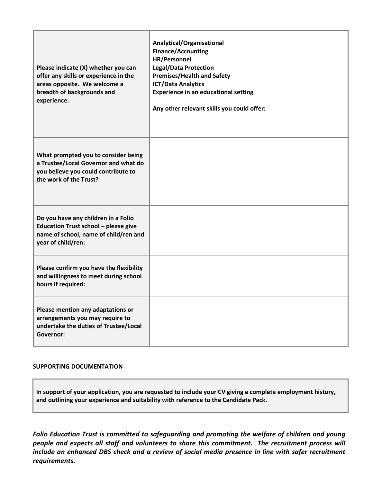| Please indicate (X) whether you can<br>offer any skills or experience in the<br>areas opposite. We welcome a<br>breadth of backgrounds and<br>experience. | Analytical/Organisational<br><b>Finance/Accounting</b><br>HR/Personnel<br><b>Legal/Data Protection</b><br><b>Premises/Health and Safety</b><br><b>ICT/Data Analytics</b><br><b>Experience in an educational setting</b><br>Any other relevant skills you could offer: |
|-----------------------------------------------------------------------------------------------------------------------------------------------------------|-----------------------------------------------------------------------------------------------------------------------------------------------------------------------------------------------------------------------------------------------------------------------|
| What prompted you to consider being<br>a Trustee/Local Governor and what do<br>you believe you could contribute to<br>the work of the Trust?              |                                                                                                                                                                                                                                                                       |
| Do you have any children in a Folio<br>Education Trust school - please give<br>name of school, name of child/ren and<br>year of child/ren:                |                                                                                                                                                                                                                                                                       |
| Please confirm you have the flexibility<br>and willingness to meet during school<br>hours if required:                                                    |                                                                                                                                                                                                                                                                       |
| Please mention any adaptations or<br>arrangements you may require to<br>undertake the duties of Trustee/Local<br>Governor:                                |                                                                                                                                                                                                                                                                       |

## **SUPPORTING DOCUMENTATION**

**In support of your application, you are requested to include your CV giving a complete employment history, and outlining your experience and suitability with reference to the Candidate Pack.**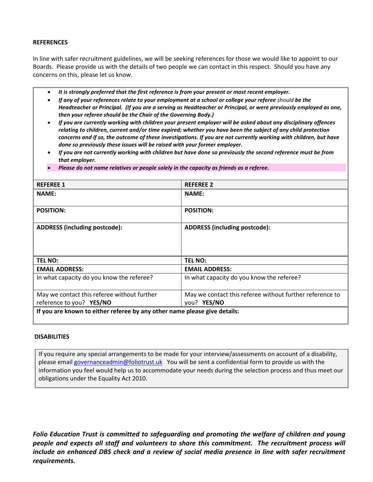## **REFERENCES**

In line with safer recruitment guidelines, we will be seeking references for those we would like to appoint to our Boards. Please provide us with the details of two people we can contact in this respect. Should you have any concerns on this, please let us know.

- *It is strongly preferred that the first reference is from your present or most recent employer.*
- *If any of your references relate to your employment at a school or college your referee should be the Headteacher or Principal. (If you are a serving as Headteacher or Principal, or were previously employed as one, then your referee should be the Chair of the Governing Body.)*
- *If you are currently working with children your present employer will be asked about any disciplinary offences relating to children, current and/or time expired; whether you have been the subject of any child protection concerns and if so, the outcome of these investigations. If you are not currently working with children, but have done so previously these issues will be raised with your former employer.*
- *If you are not currently working with children but have done so previously the second reference must be from that employer.*
- *Please do not name relatives or people solely in the capacity as friends as a referee.*

| <b>REFEREE 1</b>                                                          | <b>REFEREE 2</b>                                         |  |
|---------------------------------------------------------------------------|----------------------------------------------------------|--|
| <b>NAME:</b>                                                              | <b>NAME:</b>                                             |  |
|                                                                           |                                                          |  |
| <b>POSITION:</b>                                                          | <b>POSITION:</b>                                         |  |
| <b>ADDRESS (including postcode):</b>                                      | <b>ADDRESS (including postcode):</b>                     |  |
| <b>TEL NO:</b>                                                            | <b>TEL NO:</b>                                           |  |
| <b>EMAIL ADDRESS:</b>                                                     | <b>EMAIL ADDRESS:</b>                                    |  |
| In what capacity do you know the referee?                                 | In what capacity do you know the referee?                |  |
| May we contact this referee without further                               | May we contact this referee without further reference to |  |
| reference to you? YES/NO                                                  | you? YES/NO                                              |  |
| If you are known to either referee by any other name please give details: |                                                          |  |

### **DISABILITIES**

If you require any special arrangements to be made for your interview/assessments on account of a disability, please emai[l governanceadmin@foliotrust.uk](mailto:governanceadmin@foliotrust.uk) You will be sent a confidential form to provide us with the information you feel would help us to accommodate your needs during the selection process and thus meet our obligations under the Equality Act 2010.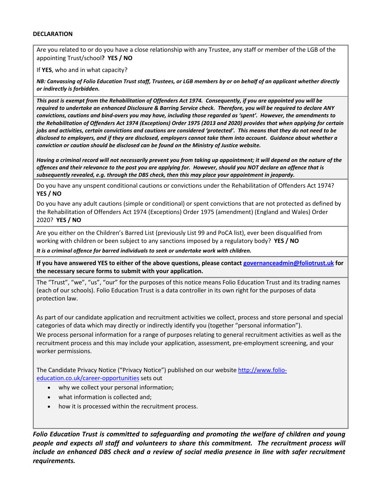## **DECLARATION**

Are you related to or do you have a close relationship with any Trustee, any staff or member of the LGB of the appointing Trust/school**? YES / NO**

If **YES**, who and in what capacity?

*NB: Canvassing of Folio Education Trust staff, Trustees, or LGB members by or on behalf of an applicant whether directly or indirectly is forbidden.*

*This post is exempt from the Rehabilitation of Offenders Act 1974. Consequently, if you are appointed you will be required to undertake an enhanced Disclosure & Barring Service check. Therefore, you will be required to declare ANY convictions, cautions and bind-overs you may have, including those regarded as 'spent'. However, the amendments to the Rehabilitation of Offenders Act 1974 (Exceptions) Order 1975 (2013 and 2020) provides that when applying for certain jobs and activities, certain convictions and cautions are considered 'protected'. This means that they do not need to be disclosed to employers, and if they are disclosed, employers cannot take them into account. Guidance about whether a conviction or caution should be disclosed can be found on the Ministry of Justice website.* 

*Having a criminal record will not necessarily prevent you from taking up appointment; it will depend on the nature of the offences and their relevance to the post you are applying for. However, should you NOT declare an offence that is subsequently revealed, e.g. through the DBS check, then this may place your appointment in jeopardy.* 

Do you have any unspent conditional cautions or convictions under the Rehabilitation of Offenders Act 1974? **YES / NO**

Do you have any adult cautions (simple or conditional) or spent convictions that are not protected as defined by the Rehabilitation of Offenders Act 1974 (Exceptions) Order 1975 (amendment) (England and Wales) Order 2020? **YES / NO**

Are you either on the Children's Barred List (previously List 99 and PoCA list), ever been disqualified from working with children or been subject to any sanctions imposed by a regulatory body? **YES / NO**

*It is a criminal offence for barred individuals to seek or undertake work with children.*

**If you have answered YES to either of the above questions, please contac[t governanceadmin@foliotrust.uk](mailto:governanceadmin@foliotrust.uk) for the necessary secure forms to submit with your application.** 

The "Trust", "we", "us", "our" for the purposes of this notice means Folio Education Trust and its trading names (each of our schools). Folio Education Trust is a data controller in its own right for the purposes of data protection law.

As part of our candidate application and recruitment activities we collect, process and store personal and special categories of data which may directly or indirectly identify you (together "personal information").

We process personal information for a range of purposes relating to general recruitment activities as well as the recruitment process and this may include your application, assessment, pre-employment screening, and your worker permissions.

The Candidate Privacy Notice ("Privacy Notice") published on our website [http://www.folio](http://www.folio-education.co.uk/career-opportunities)[education.co.uk/career-opportunities](http://www.folio-education.co.uk/career-opportunities) sets out

- why we collect your personal information;
- what information is collected and;
- how it is processed within the recruitment process.